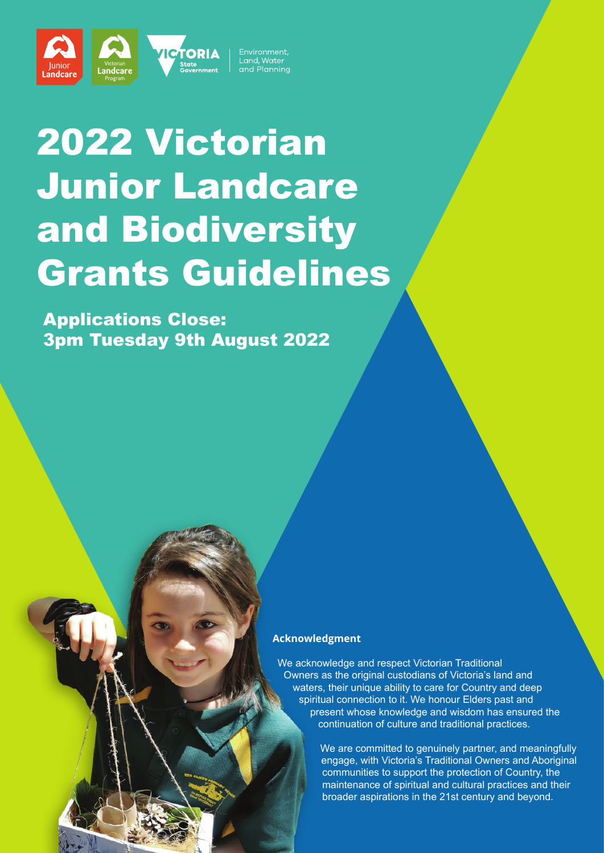Environment, Land, Water and Planning

# 2022 Victorian Junior Landcare and Biodiversity Grants Guidelines

**PTORIA** 

Landcare

Lándcare

Applications Close: 3pm Tuesday 9th August 2022

#### **Acknowledgment**

We acknowledge and respect Victorian Traditional Owners as the original custodians of Victoria's land and waters, their unique ability to care for Country and deep spiritual connection to it. We honour Elders past and present whose knowledge and wisdom has ensured the continuation of culture and traditional practices.

> We are committed to genuinely partner, and meaningfully engage, with Victoria's Traditional Owners and Aboriginal communities to support the protection of Country, the maintenance of spiritual and cultural practices and their broader aspirations in the 21st century and beyond.